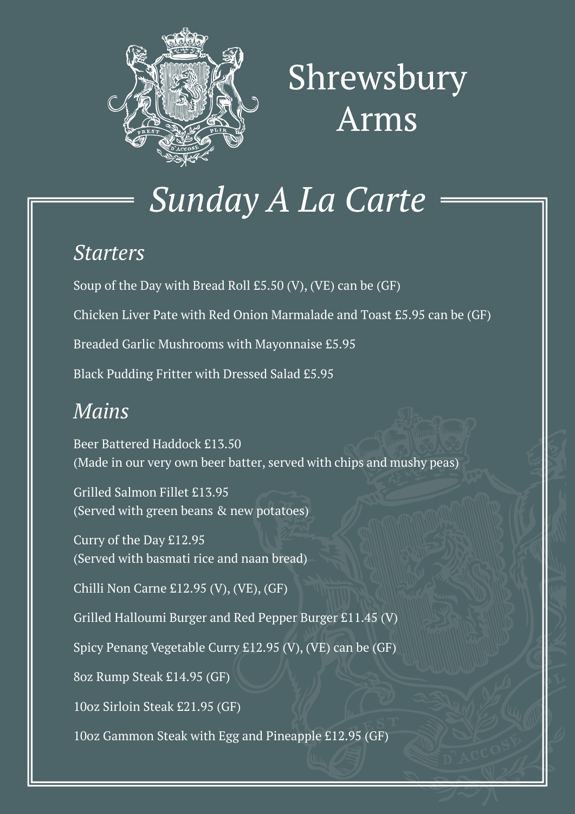

# Shrewsbury Arms

## Sunday A La Carte

#### *Starters*

Soup of the Day with Bread Roll £5.50 (V), (VE) can be (GF)

Chicken Liver Pate with Red Onion Marmalade and Toast £5.95 can be (GF)

Breaded Garlic Mushrooms with Mayonnaise £5.95

Black Pudding Fritter with Dressed Salad £5.95

### *Mains*

Beer Battered Haddock £13.50 (Made in our very own beer batter, served with chips and mushy peas)

Grilled Salmon Fillet £13.95 (Served with green beans & new potatoes)

Curry of the Day £12.95 (Served with basmati rice and naan bread)

Chilli Non Carne £12.95 (V), (VE), (GF)

Grilled Halloumi Burger and Red Pepper Burger £11.45 (V)

Spicy Penang Vegetable Curry £12.95 (V), (VE) can be (GF)

8oz Rump Steak £14.95 (GF)

10oz Sirloin Steak £21.95 (GF)

10oz Gammon Steak with Egg and Pineapple £12.95 (GF)